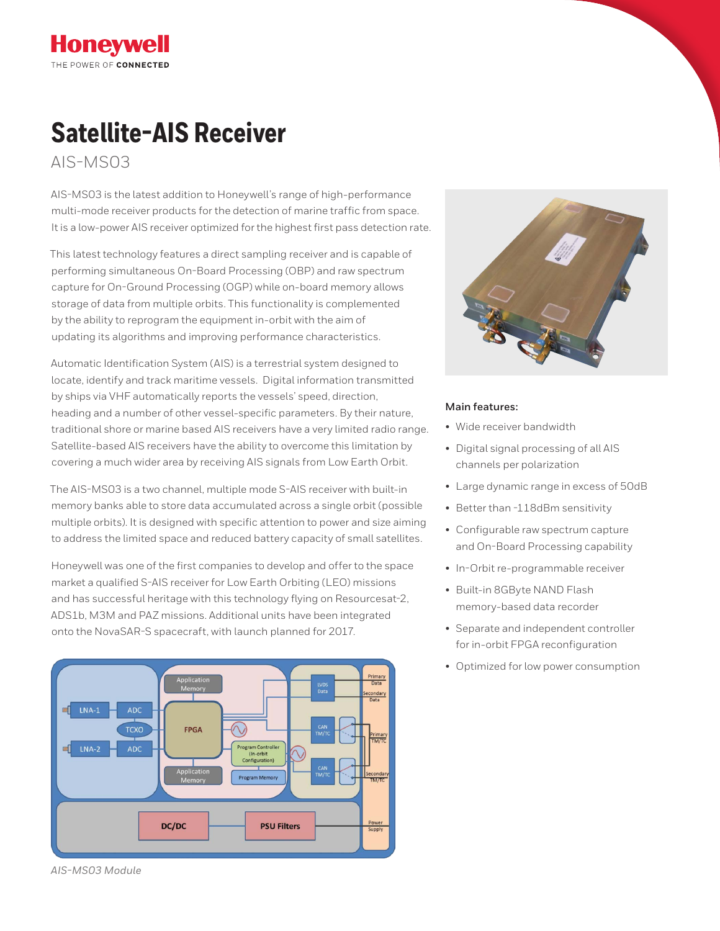# **Satellite-AIS Receiver**

AIS-MS03

**Honeywell** THE POWER OF CONNECTED

AIS-MS03 is the latest addition to Honeywell's range of high-performance multi-mode receiver products for the detection of marine traffic from space. It is a low-power AIS receiver optimized for the highest first pass detection rate.

This latest technology features a direct sampling receiver and is capable of performing simultaneous On-Board Processing (OBP) and raw spectrum capture for On-Ground Processing (OGP) while on-board memory allows storage of data from multiple orbits. This functionality is complemented by the ability to reprogram the equipment in-orbit with the aim of updating its algorithms and improving performance characteristics.

Automatic Identification System (AIS) is a terrestrial system designed to locate, identify and track maritime vessels. Digital information transmitted by ships via VHF automatically reports the vessels' speed, direction, heading and a number of other vessel-specific parameters. By their nature, traditional shore or marine based AIS receivers have a very limited radio range. Satellite-based AIS receivers have the ability to overcome this limitation by covering a much wider area by receiving AIS signals from Low Earth Orbit.

The AIS-MS03 is a two channel, multiple mode S-AIS receiver with built-in memory banks able to store data accumulated across a single orbit (possible multiple orbits). It is designed with specific attention to power and size aiming to address the limited space and reduced battery capacity of small satellites.

Honeywell was one of the first companies to develop and offer to the space market a qualified S-AIS receiver for Low Earth Orbiting (LEO) missions and has successful heritage with this technology flying on Resourcesat-2, ADS1b, M3M and PAZ missions. Additional units have been integrated onto the NovaSAR-S spacecraft, with launch planned for 2017.





#### **Main features:**

- Wide receiver bandwidth
- Digital signal processing of all AIS channels per polarization
- Large dynamic range in excess of 50dB
- Better than -118dBm sensitivity
- Configurable raw spectrum capture and On-Board Processing capability
- In-Orbit re-programmable receiver
- Built-in 8GByte NAND Flash memory-based data recorder
- Separate and independent controller for in-orbit FPGA reconfiguration
- Optimized for low power consumption

*AIS-MS03 Module*